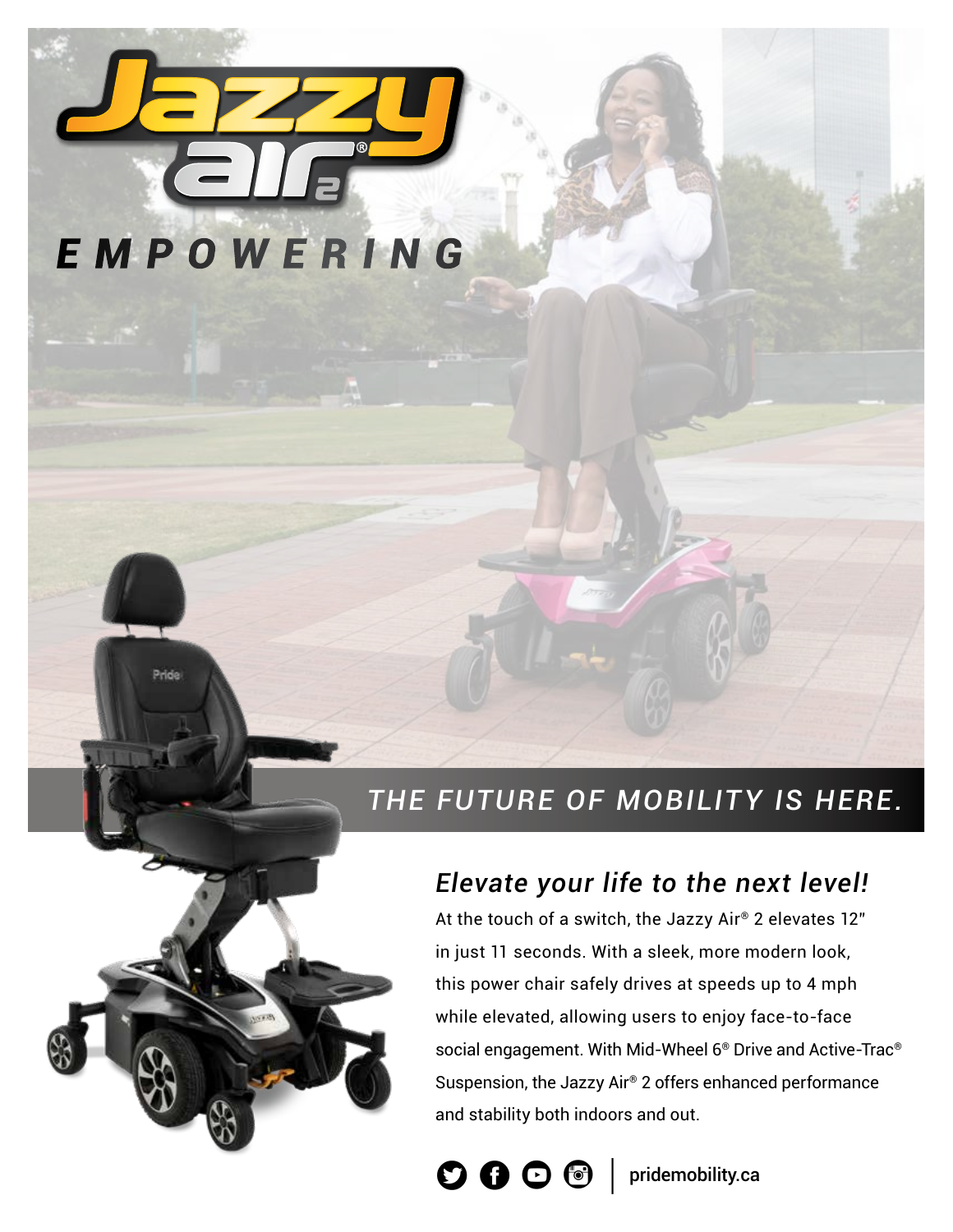

Pride

## *THE FUTURE OF MOBILITY IS HERE.*

#### *Elevate your life to the next level!*

At the touch of a switch, the Jazzy Air® 2 elevates 12" in just 11 seconds. With a sleek, more modern look, this power chair safely drives at speeds up to 4 mph while elevated, allowing users to enjoy face-to-face social engagement. With Mid-Wheel 6® Drive and Active-Trac® Suspension, the Jazzy Air® 2 offers enhanced performance and stability both indoors and out.